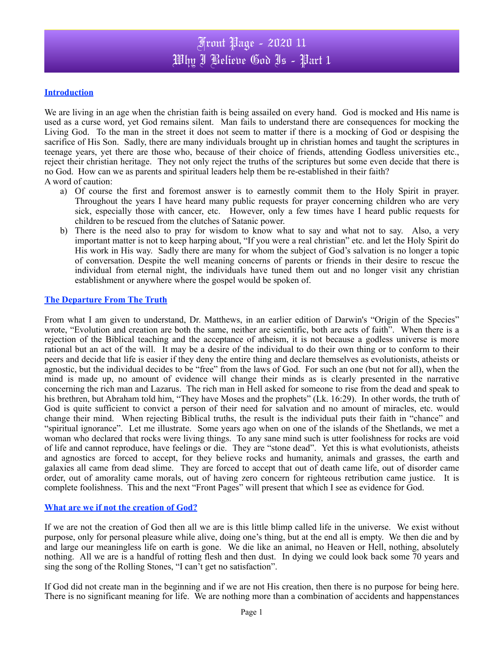#### **Introduction**

We are living in an age when the christian faith is being assailed on every hand. God is mocked and His name is used as a curse word, yet God remains silent. Man fails to understand there are consequences for mocking the Living God. To the man in the street it does not seem to matter if there is a mocking of God or despising the sacrifice of His Son. Sadly, there are many individuals brought up in christian homes and taught the scriptures in teenage years, yet there are those who, because of their choice of friends, attending Godless universities etc., reject their christian heritage. They not only reject the truths of the scriptures but some even decide that there is no God. How can we as parents and spiritual leaders help them be re-established in their faith? A word of caution:

- a) Of course the first and foremost answer is to earnestly commit them to the Holy Spirit in prayer. Throughout the years I have heard many public requests for prayer concerning children who are very sick, especially those with cancer, etc. However, only a few times have I heard public requests for children to be rescued from the clutches of Satanic power.
- b) There is the need also to pray for wisdom to know what to say and what not to say. Also, a very important matter is not to keep harping about, "If you were a real christian" etc. and let the Holy Spirit do His work in His way. Sadly there are many for whom the subject of God's salvation is no longer a topic of conversation. Despite the well meaning concerns of parents or friends in their desire to rescue the individual from eternal night, the individuals have tuned them out and no longer visit any christian establishment or anywhere where the gospel would be spoken of.

#### **The Departure From The Truth**

From what I am given to understand, Dr. Matthews, in an earlier edition of Darwin's "Origin of the Species" wrote, "Evolution and creation are both the same, neither are scientific, both are acts of faith". When there is a rejection of the Biblical teaching and the acceptance of atheism, it is not because a godless universe is more rational but an act of the will. It may be a desire of the individual to do their own thing or to conform to their peers and decide that life is easier if they deny the entire thing and declare themselves as evolutionists, atheists or agnostic, but the individual decides to be "free" from the laws of God. For such an one (but not for all), when the mind is made up, no amount of evidence will change their minds as is clearly presented in the narrative concerning the rich man and Lazarus. The rich man in Hell asked for someone to rise from the dead and speak to his brethren, but Abraham told him, "They have Moses and the prophets" (Lk. 16:29). In other words, the truth of God is quite sufficient to convict a person of their need for salvation and no amount of miracles, etc. would change their mind. When rejecting Biblical truths, the result is the individual puts their faith in "chance" and "spiritual ignorance". Let me illustrate. Some years ago when on one of the islands of the Shetlands, we met a woman who declared that rocks were living things. To any sane mind such is utter foolishness for rocks are void of life and cannot reproduce, have feelings or die. They are "stone dead". Yet this is what evolutionists, atheists and agnostics are forced to accept, for they believe rocks and humanity, animals and grasses, the earth and galaxies all came from dead slime. They are forced to accept that out of death came life, out of disorder came order, out of amorality came morals, out of having zero concern for righteous retribution came justice. It is complete foolishness. This and the next "Front Pages" will present that which I see as evidence for God.

#### **What are we if not the creation of God?**

If we are not the creation of God then all we are is this little blimp called life in the universe. We exist without purpose, only for personal pleasure while alive, doing one's thing, but at the end all is empty. We then die and by and large our meaningless life on earth is gone. We die like an animal, no Heaven or Hell, nothing, absolutely nothing. All we are is a handful of rotting flesh and then dust. In dying we could look back some 70 years and sing the song of the Rolling Stones, "I can't get no satisfaction".

If God did not create man in the beginning and if we are not His creation, then there is no purpose for being here. There is no significant meaning for life. We are nothing more than a combination of accidents and happenstances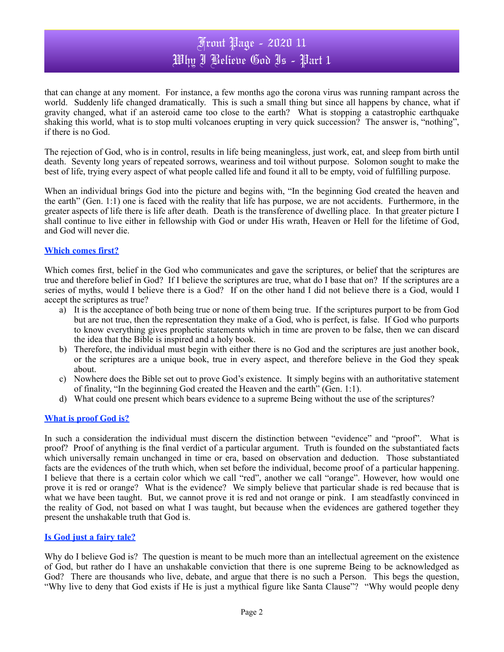## Front Page - 2020 11 Why I Believe God Is - Part 1

that can change at any moment. For instance, a few months ago the corona virus was running rampant across the world. Suddenly life changed dramatically. This is such a small thing but since all happens by chance, what if gravity changed, what if an asteroid came too close to the earth? What is stopping a catastrophic earthquake shaking this world, what is to stop multi volcanoes erupting in very quick succession? The answer is, "nothing", if there is no God.

The rejection of God, who is in control, results in life being meaningless, just work, eat, and sleep from birth until death. Seventy long years of repeated sorrows, weariness and toil without purpose. Solomon sought to make the best of life, trying every aspect of what people called life and found it all to be empty, void of fulfilling purpose.

When an individual brings God into the picture and begins with, "In the beginning God created the heaven and the earth" (Gen. 1:1) one is faced with the reality that life has purpose, we are not accidents. Furthermore, in the greater aspects of life there is life after death. Death is the transference of dwelling place. In that greater picture I shall continue to live either in fellowship with God or under His wrath, Heaven or Hell for the lifetime of God, and God will never die.

#### **Which comes first?**

Which comes first, belief in the God who communicates and gave the scriptures, or belief that the scriptures are true and therefore belief in God? If I believe the scriptures are true, what do I base that on? If the scriptures are a series of myths, would I believe there is a God? If on the other hand I did not believe there is a God, would I accept the scriptures as true?

- a) It is the acceptance of both being true or none of them being true. If the scriptures purport to be from God but are not true, then the representation they make of a God, who is perfect, is false. If God who purports to know everything gives prophetic statements which in time are proven to be false, then we can discard the idea that the Bible is inspired and a holy book.
- b) Therefore, the individual must begin with either there is no God and the scriptures are just another book, or the scriptures are a unique book, true in every aspect, and therefore believe in the God they speak about.
- c) Nowhere does the Bible set out to prove God's existence. It simply begins with an authoritative statement of finality, "In the beginning God created the Heaven and the earth" (Gen. 1:1).
- d) What could one present which bears evidence to a supreme Being without the use of the scriptures?

### **What is proof God is?**

In such a consideration the individual must discern the distinction between "evidence" and "proof". What is proof? Proof of anything is the final verdict of a particular argument. Truth is founded on the substantiated facts which universally remain unchanged in time or era, based on observation and deduction. Those substantiated facts are the evidences of the truth which, when set before the individual, become proof of a particular happening. I believe that there is a certain color which we call "red", another we call "orange". However, how would one prove it is red or orange? What is the evidence? We simply believe that particular shade is red because that is what we have been taught. But, we cannot prove it is red and not orange or pink. I am steadfastly convinced in the reality of God, not based on what I was taught, but because when the evidences are gathered together they present the unshakable truth that God is.

#### **Is God just a fairy tale?**

Why do I believe God is? The question is meant to be much more than an intellectual agreement on the existence of God, but rather do I have an unshakable conviction that there is one supreme Being to be acknowledged as God? There are thousands who live, debate, and argue that there is no such a Person. This begs the question, "Why live to deny that God exists if He is just a mythical figure like Santa Clause"? "Why would people deny